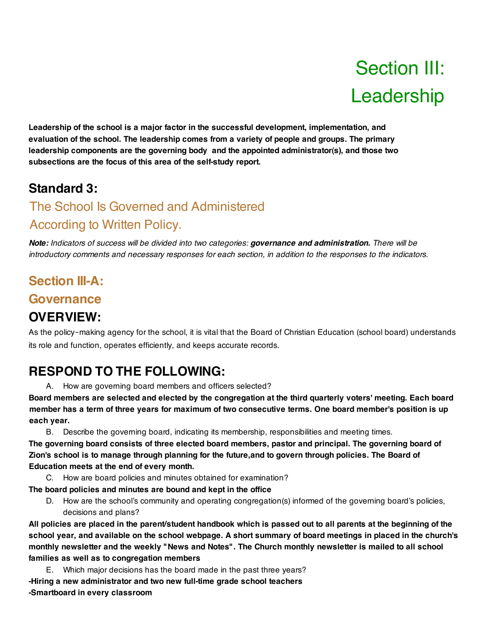# Section III: Leadership

**Leadership of the school is a major factor in the successful development, implementation, and evaluation of the school. The leadership comes from a variety of people and groups. The primary leadership components are the governing body and the appointed administrator(s), and those two subsections are the focus of this area of the self-study report.**

#### **Standard 3:**

#### The School Is Governed and Administered According to Written Policy.

*Note: Indicators of success will be divided into two categories: governance and administration. There will be introductory comments and necessary responses for each section, in addition to the responses to the indicators.*

#### **Section III-A:**

#### **Governance**

#### **OVERVIEW:**

As the policy–making agency for the school, it is vital that the Board of Christian Education (school board) understands its role and function, operates efficiently, and keeps accurate records.

## **RESPOND TO THE FOLLOWING:**

A. How are governing board members and officers selected?

Board members are selected and elected by the congregation at the third quarterly voters' meeting. Each board member has a term of three years for maximum of two consecutive terms. One board member's position is up **each year.**

B. Describe the governing board, indicating its membership, responsibilities and meeting times.

**The governing board consists of three elected board members, pastor and principal. The governing board of Zion's school is to manage through planning for the future,and to govern through policies. The Board of Education meets at the end of every month.**

C. How are board policies and minutes obtained for examination?

**The board policies and minutes are bound and kept in the office**

D. How are the school's community and operating congregation(s) informed of the governing board's policies, decisions and plans?

All policies are placed in the parent/student handbook which is passed out to all parents at the beginning of the school year, and available on the school webpage. A short summary of board meetings in placed in the church's **monthly newsletter and the weekly "News and Notes". The Church monthly newsletter is mailed to all school families as well as to congregation members**

E. Which major decisions has the board made in the past three years? **-Hiring a new administrator and two new full-time grade school teachers -Smartboard in every classroom**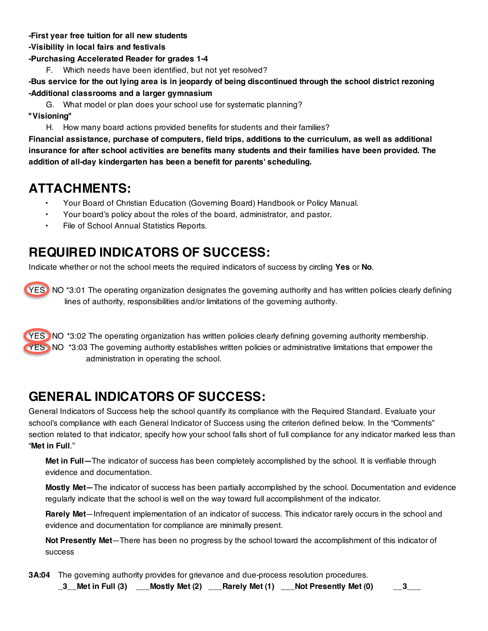**-First year free tuition for all new students**

**-Visibility in local fairs and festivals**

**-Purchasing Accelerated Reader for grades 1-4**

F. Which needs have been identified, but not yet resolved?

-Bus service for the out lying area is in jeopardy of being discontinued through the school district rezoning **-Additional classrooms and a larger gymnasium**

G. What model or plan does your school use for systematic planning? **"Visioning"**

H. How many board actions provided benefits for students and their families?

**Financial assistance, purchase of computers, field trips, additions to the curriculum, as well as additional insurance for after school activities are benefits many students and their families have been provided. The addition of all-day kindergarten has been a benefit for parents' scheduling.**

#### **ATTACHMENTS:**

- Your Board of Christian Education (Governing Board) Handbook or Policy Manual.
- Your board's policy about the roles of the board, administrator, and pastor.
- File of School Annual Statistics Reports.

#### **REQUIRED INDICATORS OF SUCCESS:**

Indicate whether or not the school meets the required indicators of success by circling **Yes** or **No**.

YES NO \*3:01 The operating organization designates the governing authority and has written policies clearly defining lines of authority, responsibilities and/or limitations of the governing authority.

YES NO \*3:02 The operating organization has written policies clearly defining governing authority membership. YES NO \*3:03 The governing authority establishes written policies or administrative limitations that empower the administration in operating the school.

#### **GENERAL INDICATORS OF SUCCESS:**

General Indicators of Success help the school quantify its compliance with the Required Standard. Evaluate your school's compliance with each General Indicator of Success using the criterion defined below. In the "Comments" section related to that indicator, specify how your school falls short of full compliance for any indicator marked less than "**Met in Full**."

**Met in Full—**The indicator of success has been completely accomplished by the school. It is verifiable through evidence and documentation.

**Mostly Met—**The indicator of success has been partially accomplished by the school. Documentation and evidence regularly indicate that the school is well on the way toward full accomplishment of the indicator.

**Rarely Met**—Infrequent implementation of an indicator of success. This indicator rarely occurs in the school and evidence and documentation for compliance are minimally present.

**Not Presently Met**—There has been no progress by the school toward the accomplishment of this indicator of success

**3A:04** The governing authority provides for grievance and due-process resolution procedures.

**\_3\_\_Met in Full (3) \_\_\_Mostly Met (2) \_\_\_Rarely Met (1) \_\_\_Not Presently Met (0) \_\_3\_\_\_**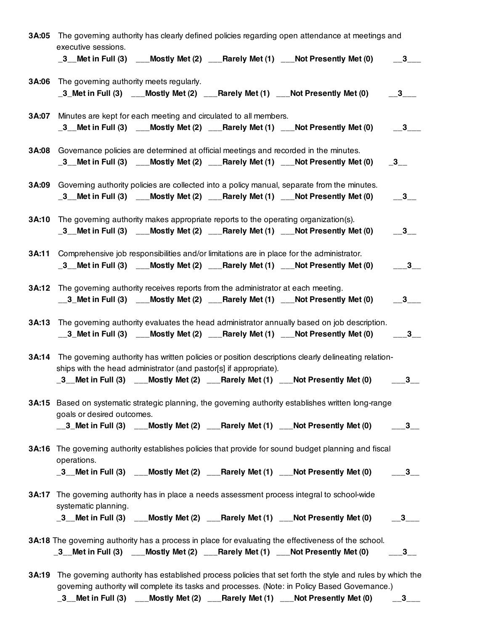|       | executive sessions.                                   |                                                                                                  | 3A:05 The governing authority has clearly defined policies regarding open attendance at meetings and                     |                           |
|-------|-------------------------------------------------------|--------------------------------------------------------------------------------------------------|--------------------------------------------------------------------------------------------------------------------------|---------------------------|
|       |                                                       |                                                                                                  | $\_3$ <sub>__</sub> Met in Full (3) $\quad$ ___Mostly Met (2) $\quad$ ___Rarely Met (1) $\quad$ ___Not Presently Met (0) | $-3$                      |
|       |                                                       |                                                                                                  |                                                                                                                          |                           |
|       | <b>3A:06</b> The governing authority meets regularly. |                                                                                                  |                                                                                                                          |                           |
|       |                                                       |                                                                                                  | _3_Met in Full (3) ___Mostly Met (2) ___Rarely Met (1) ___Not Presently Met (0)                                          | $-3$                      |
| 3A:07 |                                                       | Minutes are kept for each meeting and circulated to all members.                                 |                                                                                                                          |                           |
|       |                                                       |                                                                                                  | $\_\frac{3}{2}$ Met in Full (3) $\_\_\_\$ Mostly Met (2) $\_\_\_\$ Rarely Met (1) $\_\_\_\$ Not Presently Met (0)        | $\overline{\phantom{1}3}$ |
|       |                                                       |                                                                                                  |                                                                                                                          |                           |
|       |                                                       |                                                                                                  | 3A:08 Governance policies are determined at official meetings and recorded in the minutes.                               |                           |
|       |                                                       |                                                                                                  | _3__Met in Full (3) ___Mostly Met (2) ___Rarely Met (1) ___Not Presently Met (0)                                         | $-3$ <sub>——</sub>        |
|       |                                                       |                                                                                                  | 3A:09 Governing authority policies are collected into a policy manual, separate from the minutes.                        |                           |
|       |                                                       |                                                                                                  | _3__Met in Full (3) ___Mostly Met (2) ___Rarely Met (1) ___Not Presently Met (0)                                         | $-3$                      |
|       |                                                       |                                                                                                  |                                                                                                                          |                           |
|       |                                                       | <b>3A:10</b> The governing authority makes appropriate reports to the operating organization(s). |                                                                                                                          |                           |
|       |                                                       |                                                                                                  | _3 Met in Full (3) ___Mostly Met (2) ___Rarely Met (1) ___Not Presently Met (0)                                          | $-3$                      |
|       |                                                       |                                                                                                  |                                                                                                                          |                           |
|       |                                                       |                                                                                                  | 3A:11 Comprehensive job responsibilities and/or limitations are in place for the administrator.                          | $-3$                      |
|       |                                                       |                                                                                                  | _3__Met in Full (3) ___Mostly Met (2) ___Rarely Met (1) ___Not Presently Met (0)                                         |                           |
|       |                                                       | <b>3A:12</b> The governing authority receives reports from the administrator at each meeting.    |                                                                                                                          |                           |
|       |                                                       |                                                                                                  | __3_Met in Full (3) ___Mostly Met (2) ___Rarely Met (1) ___Not Presently Met (0)                                         | $\overline{\mathbf{3}}$   |
|       |                                                       |                                                                                                  |                                                                                                                          |                           |
|       |                                                       |                                                                                                  | 3A:13 The governing authority evaluates the head administrator annually based on job description.                        |                           |
|       |                                                       |                                                                                                  | __3_Met in Full (3) ___Mostly Met (2) ___Rarely Met (1) ___Not Presently Met (0)                                         | $\_\_3\_\_$               |
|       |                                                       |                                                                                                  | 3A:14 The governing authority has written policies or position descriptions clearly delineating relation-                |                           |
|       |                                                       | ships with the head administrator (and pastor[s] if appropriate).                                |                                                                                                                          |                           |
|       |                                                       |                                                                                                  | _3__Met in Full (3)  ___Mostly Met (2)  ___Rarely Met (1)  ___Not Presently Met (0)                                      | $-3$                      |
|       |                                                       |                                                                                                  |                                                                                                                          |                           |
|       |                                                       |                                                                                                  | 3A:15 Based on systematic strategic planning, the governing authority establishes written long-range                     |                           |
|       | goals or desired outcomes.                            |                                                                                                  | __3_Met in Full (3) ___Mostly Met (2) ___Rarely Met (1) ___Not Presently Met (0)                                         | $-3$                      |
|       |                                                       |                                                                                                  |                                                                                                                          |                           |
|       |                                                       |                                                                                                  | <b>3A:16</b> The governing authority establishes policies that provide for sound budget planning and fiscal              |                           |
|       | operations.                                           |                                                                                                  |                                                                                                                          |                           |
|       |                                                       |                                                                                                  | $\_\frac{3}{2}$ Met in Full (3) $\_\_\_$ Mostly Met (2) $\_\_\_$ Rarely Met (1) $\_\_\_$ Not Presently Met (0)           | $\overline{\mathbf{3}}$   |
|       |                                                       |                                                                                                  | 3A:17 The governing authority has in place a needs assessment process integral to school-wide                            |                           |
|       | systematic planning.                                  |                                                                                                  |                                                                                                                          |                           |
|       |                                                       |                                                                                                  | _3__Met in Full (3) ___Mostly Met (2) ___Rarely Met (1) ___Not Presently Met (0)                                         | $-3$                      |
|       |                                                       |                                                                                                  |                                                                                                                          |                           |
|       |                                                       |                                                                                                  | 3A:18 The governing authority has a process in place for evaluating the effectiveness of the school.                     |                           |
|       |                                                       |                                                                                                  | _3_Met in Full (3) __Mostly Met (2) __Rarely Met (1) __Not Presently Met (0)                                             | $\overline{\mathbf{3}}$   |
|       |                                                       |                                                                                                  | 3A:19 The governing authority has established process policies that set forth the style and rules by which the           |                           |
|       |                                                       |                                                                                                  |                                                                                                                          |                           |

governing authority will complete its tasks and processes. (Note: in Policy Based Governance.)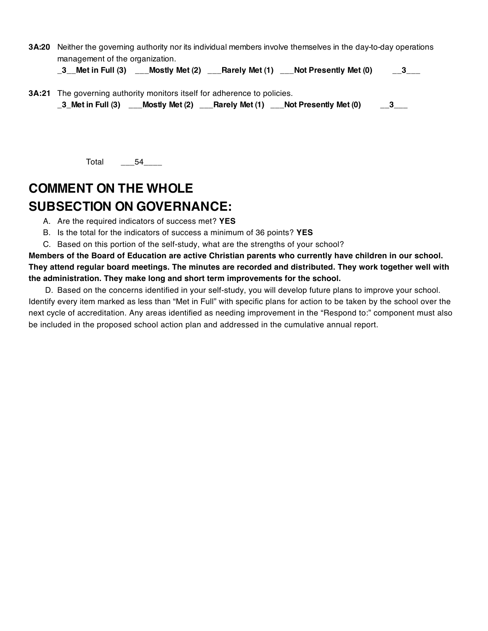**3A:20** Neither the governing authority nor its individual members involve themselves in the day-to-day operations management of the organization.

**\_3\_\_Met in Full (3) \_\_\_Mostly Met (2) \_\_\_Rarely Met (1) \_\_\_Not Presently Met (0) \_\_3\_\_\_**

| <b>3A:21</b> The governing authority monitors itself for adherence to policies. |  |  |                                                              |      |
|---------------------------------------------------------------------------------|--|--|--------------------------------------------------------------|------|
| $\_3\_$ Met in Full $(3)$                                                       |  |  | ___Mostly Met (2) ___Rarely Met (1) ___Not Presently Met (0) | $-3$ |

Total \_\_\_\_\_54\_\_\_\_\_

#### **COMMENT ON THE WHOLE SUBSECTION ON GOVERNANCE:**

- A. Are the required indicators of success met? **YES**
- B. Is the total for the indicators of success a minimum of 36 points? **YES**
- C. Based on this portion of the self-study, what are the strengths of your school?

**Members of the Board of Education are active Christian parents who currently have children in our school. They attend regular board meetings. The minutes are recorded and distributed. They work together well with the administration. They make long and short term improvements for the school.**

 D. Based on the concerns identified in your self-study, you will develop future plans to improve your school. Identify every item marked as less than "Met in Full" with specific plans for action to be taken by the school over the next cycle of accreditation. Any areas identified as needing improvement in the "Respond to:" component must also be included in the proposed school action plan and addressed in the cumulative annual report.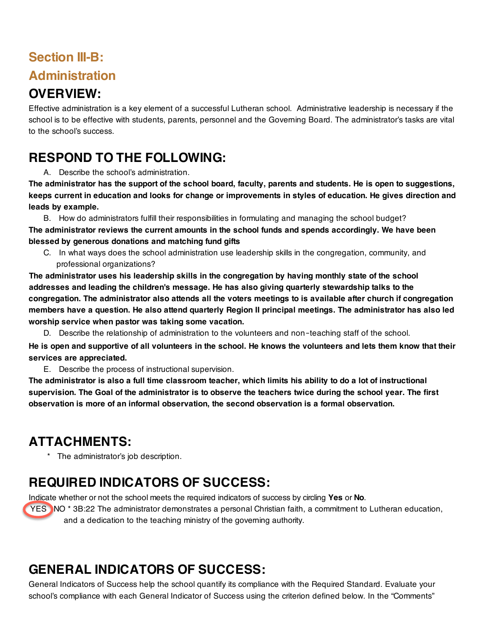## **Section III-B: Administration OVERVIEW:**

Effective administration is a key element of a successful Lutheran school. Administrative leadership is necessary if the school is to be effective with students, parents, personnel and the Governing Board. The administrator's tasks are vital to the school's success.

#### **RESPOND TO THE FOLLOWING:**

A. Describe the school's administration.

The administrator has the support of the school board, faculty, parents and students. He is open to suggestions, keeps current in education and looks for change or improvements in styles of education. He gives direction and **leads by example.**

B. How do administrators fulfill their responsibilities in formulating and managing the school budget? **The administrator reviews the current amounts in the school funds and spends accordingly. We have been blessed by generous donations and matching fund gifts**

C. In what ways does the school administration use leadership skills in the congregation, community, and professional organizations?

**The administrator uses his leadership skills in the congregation by having monthly state of the school addresses and leading the children's message. He has also giving quarterly stewardship talks to the** congregation. The administrator also attends all the voters meetings to is available after church if congregation members have a question. He also attend quarterly Region II principal meetings. The administrator has also led **worship service when pastor was taking some vacation.**

D. Describe the relationship of administration to the volunteers and non-teaching staff of the school.

He is open and supportive of all volunteers in the school. He knows the volunteers and lets them know that their **services are appreciated.**

E. Describe the process of instructional supervision.

The administrator is also a full time classroom teacher, which limits his ability to do a lot of instructional supervision. The Goal of the administrator is to observe the teachers twice during the school year. The first **observation is more of an informal observation, the second observation is a formal observation.**

#### **ATTACHMENTS:**

\* The administrator's job description.

#### **REQUIRED INDICATORS OF SUCCESS:**

Indicate whether or not the school meets the required indicators of success by circling **Yes** or **No**.

YES NO \* 3B:22 The administrator demonstrates a personal Christian faith, a commitment to Lutheran education,

and a dedication to the teaching ministry of the governing authority.

### **GENERAL INDICATORS OF SUCCESS:**

General Indicators of Success help the school quantify its compliance with the Required Standard. Evaluate your school's compliance with each General Indicator of Success using the criterion defined below. In the "Comments"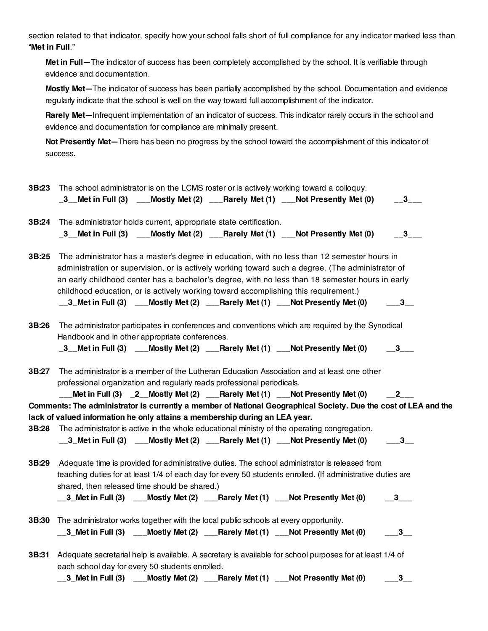section related to that indicator, specify how your school falls short of full compliance for any indicator marked less than "**Met in Full**."

**Met in Full—**The indicator of success has been completely accomplished by the school. It is verifiable through evidence and documentation.

**Mostly Met—**The indicator of success has been partially accomplished by the school. Documentation and evidence regularly indicate that the school is well on the way toward full accomplishment of the indicator.

**Rarely Met—**Infrequent implementation of an indicator of success. This indicator rarely occurs in the school and evidence and documentation for compliance are minimally present.

**Not Presently Met—**There has been no progress by the school toward the accomplishment of this indicator of success.

|       | 3B:23 The school administrator is on the LCMS roster or is actively working toward a colloquy.<br>_3__Met in Full (3) ___Mostly Met (2) ___Rarely Met (1) ___Not Presently Met (0)                                                                                                                                                                                                                                                                                              |                |                       | $\overline{\phantom{a}3}$    |
|-------|---------------------------------------------------------------------------------------------------------------------------------------------------------------------------------------------------------------------------------------------------------------------------------------------------------------------------------------------------------------------------------------------------------------------------------------------------------------------------------|----------------|-----------------------|------------------------------|
| 3B:24 | The administrator holds current, appropriate state certification.<br>_3_Met in Full (3) ___Mostly Met (2) ___Rarely Met (1) ___Not Presently Met (0)                                                                                                                                                                                                                                                                                                                            |                |                       | $\overline{\mathbf{3}}$      |
| 3B:25 | The administrator has a master's degree in education, with no less than 12 semester hours in<br>administration or supervision, or is actively working toward such a degree. (The administrator of<br>an early childhood center has a bachelor's degree, with no less than 18 semester hours in early<br>childhood education, or is actively working toward accomplishing this requirement.)<br>__3_Met in Full (3) ___Mostly Met (2) ___Rarely Met (1) ___Not Presently Met (0) |                |                       | $\overline{\phantom{1}}^{3}$ |
| 3B:26 | The administrator participates in conferences and conventions which are required by the Synodical<br>Handbook and in other appropriate conferences.<br>_3__Met in Full (3) ___Mostly Met (2) ___Rarely Met (1) ___Not Presently Met (0)                                                                                                                                                                                                                                         |                |                       | $\overline{\phantom{1}3}$    |
| 3B:27 | The administrator is a member of the Lutheran Education Association and at least one other<br>professional organization and regularly reads professional periodicals.<br>Met in Full (3) _2_Mostly Met (2) ___Rarely Met (1) ___Not Presently Met (0)                                                                                                                                                                                                                           |                |                       | $\overline{\mathbf{2}}$      |
|       | Comments: The administrator is currently a member of National Geographical Society. Due the cost of LEA and the                                                                                                                                                                                                                                                                                                                                                                 |                |                       |                              |
|       | lack of valued information he only attains a membership during an LEA year.                                                                                                                                                                                                                                                                                                                                                                                                     |                |                       |                              |
| 3B:28 | The administrator is active in the whole educational ministry of the operating congregation.                                                                                                                                                                                                                                                                                                                                                                                    |                |                       |                              |
|       | __3_Met in Full (3) ___Mostly Met (2) ___Rarely Met (1) ___Not Presently Met (0)                                                                                                                                                                                                                                                                                                                                                                                                |                |                       | $\overline{\phantom{a}3}$    |
| 3B:29 | Adequate time is provided for administrative duties. The school administrator is released from<br>teaching duties for at least 1/4 of each day for every 50 students enrolled. (If administrative duties are<br>shared, then released time should be shared.)<br>__3_Met in Full (3) ___Mostly Met (2) ___Rarely Met (1) ___Not Presently Met (0)                                                                                                                               |                |                       | $\overline{\mathbf{3}}$      |
| 3B:30 | The administrator works together with the local public schools at every opportunity.<br>__3_Met in Full (3) ___Mostly Met (2) ___Rarely Met (1) ___Not Presently Met (0)                                                                                                                                                                                                                                                                                                        |                |                       | $\overline{\phantom{1}}^{3}$ |
|       | 3B:31 Adequate secretarial help is available. A secretary is available for school purposes for at least 1/4 of<br>each school day for every 50 students enrolled.<br>3_Met in Full (3)<br>Mostly Met (2)                                                                                                                                                                                                                                                                        | Rarely Met (1) | Not Presently Met (0) | $\mathbf{3}_{-}$             |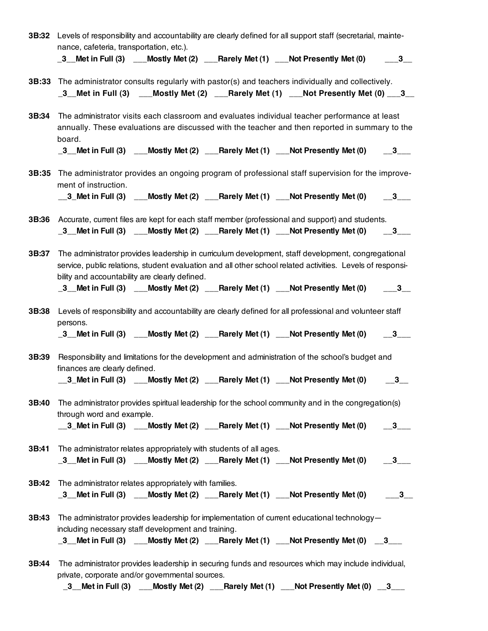| 3B:32 Levels of responsibility and accountability are clearly defined for all support staff (secretarial, mainte- |
|-------------------------------------------------------------------------------------------------------------------|
| nance, cafeteria, transportation, etc.).                                                                          |

**\_3\_\_Met in Full (3) \_\_\_Mostly Met (2) \_\_\_Rarely Met (1) \_\_\_Not Presently Met (0) \_\_\_3\_\_**

| <b>3B:33</b> The administrator consults regularly with pastor(s) and teachers individually and collectively. |                         |                   |                   |                                |  |
|--------------------------------------------------------------------------------------------------------------|-------------------------|-------------------|-------------------|--------------------------------|--|
|                                                                                                              | $\_3$ Met in Full $(3)$ | ___Mostly Met (2) | ___Rarely Met (1) | <b>Not Presently Met (0) 3</b> |  |

**3B:34** The administrator visits each classroom and evaluates individual teacher performance at least annually. These evaluations are discussed with the teacher and then reported in summary to the board.

**\_3\_\_Met in Full (3) \_\_\_Mostly Met (2) \_\_\_Rarely Met (1) \_\_\_Not Presently Met (0) \_\_3\_\_\_**

**3B:35** The administrator provides an ongoing program of professional staff supervision for the improve‐ ment of instruction.

**\_\_3\_Met in Full (3) \_\_\_Mostly Met (2) \_\_\_Rarely Met (1) \_\_\_Not Presently Met (0) \_\_3\_\_\_**

- **3B:36** Accurate, current files are kept for each staff member (professional and support) and students. **\_3\_\_Met in Full (3) \_\_\_Mostly Met (2) \_\_\_Rarely Met (1) \_\_\_Not Presently Met (0) \_\_3\_\_\_**
- **3B:37** The administrator provides leadership in curriculum development, staff development, congregational service, public relations, student evaluation and all other school related activities. Levels of responsibility and accountability are clearly defined.

**\_3\_\_Met in Full (3) \_\_\_Mostly Met (2) \_\_\_Rarely Met (1) \_\_\_Not Presently Met (0) \_\_\_3\_\_**

**3B:38** Levels of responsibility and accountability are clearly defined for all professional and volunteer staff persons.

**\_3\_\_Met in Full (3) \_\_\_Mostly Met (2) \_\_\_Rarely Met (1) \_\_\_Not Presently Met (0) \_\_3\_\_\_**

**3B:39** Responsibility and limitations for the development and administration of the school's budget and finances are clearly defined.

**\_\_3\_Met in Full (3) \_\_\_Mostly Met (2) \_\_\_Rarely Met (1) \_\_\_Not Presently Met (0) \_\_3\_\_**

**3B:40** The administrator provides spiritual leadership for the school community and in the congregation(s) through word and example.

**\_\_3\_Met in Full (3) \_\_\_Mostly Met (2) \_\_\_Rarely Met (1) \_\_\_Not Presently Met (0) \_\_3\_\_\_**

**3B:41** The administrator relates appropriately with students of all ages. **\_3\_\_Met in Full (3) \_\_\_Mostly Met (2) \_\_\_Rarely Met (1) \_\_\_Not Presently Met (0) \_\_3\_\_\_**

**3B:42** The administrator relates appropriately with families. **\_3\_\_Met in Full (3) \_\_\_Mostly Met (2) \_\_\_Rarely Met (1) \_\_\_Not Presently Met (0) \_\_\_3\_\_**

**3B:43** The administrator provides leadership for implementation of current educational technology including necessary staff development and training.

**\_3\_\_Met in Full (3) \_\_\_Mostly Met (2) \_\_\_Rarely Met (1) \_\_\_Not Presently Met (0) \_\_3\_\_\_**

**3B:44** The administrator provides leadership in securing funds and resources which may include individual, private, corporate and/or governmental sources.

**\_3\_\_Met in Full (3) \_\_\_Mostly Met (2) \_\_\_Rarely Met (1) \_\_\_Not Presently Met (0) \_\_3\_\_\_**